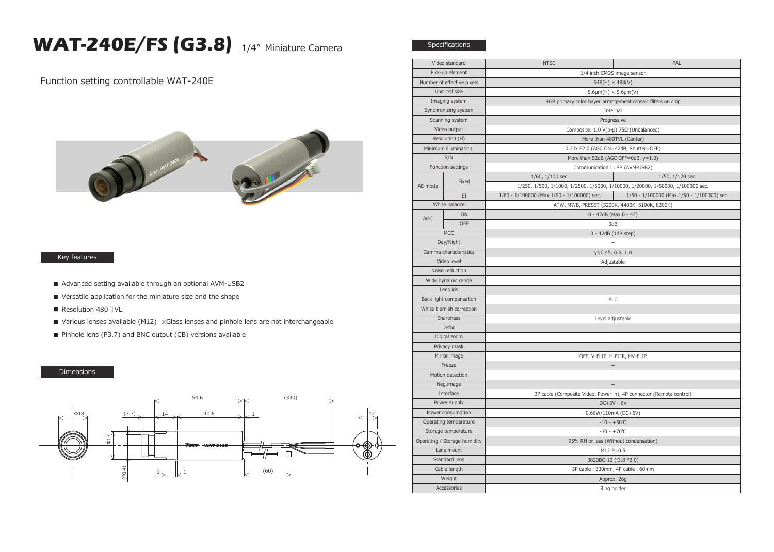## **WAT-240E/FS (G3.8)** 1/4" Miniature Camera

Function setting controllable WAT-240E



## Key features

- Advanced setting available through an optional AVM-USB2
- Versatile application for the miniature size and the shape
- Resolution 480 TVL
- Various lenses available (M12) ※Glass lenses and pinhole lens are not interchangeable
- Pinhole lens (P3.7) and BNC output (CB) versions available

## Dimensions



| Video standard               |       | <b>NTSC</b>                                                         | PAL                                                                            |
|------------------------------|-------|---------------------------------------------------------------------|--------------------------------------------------------------------------------|
| Pick-up element              |       | 1/4 inch CMOS image sensor                                          |                                                                                |
| Number of effective pixels   |       | $648(H) \times 488(V)$                                              |                                                                                |
| Unit cell size               |       | $5.6 \mu m(H) \times 5.6 \mu m(V)$                                  |                                                                                |
| Imaging system               |       | RGB primary color bayer arrangement mosaic filters on chip          |                                                                                |
| Synchronizing system         |       | Internal                                                            |                                                                                |
| Scanning system              |       | Progressive                                                         |                                                                                |
| Video output                 |       | Composite: 1.0 V(p-p) 75Ω (Unbalanced)                              |                                                                                |
| Resolution (H)               |       | More than 480TVL (Center)                                           |                                                                                |
| Minimum illumination         |       | 0.3 lx F2.0 (AGC ON=42dB, Shutter=OFF)                              |                                                                                |
| S/N                          |       | More than 52dB (AGC OFF=0dB, $y=1.0$ )                              |                                                                                |
| Function settings            |       | Communication: USB (AVM-USB2)                                       |                                                                                |
| AE mode                      | Fixed | $1/60$ , $1/100$ sec.                                               | 1/50, 1/120 sec.                                                               |
|                              |       |                                                                     | 1/250, 1/500, 1/1000, 1/2500, 1/5000, 1/10000, 1/20000, 1/50000, 1/100000 sec. |
|                              | EI    | 1/60 - 1/100000 (Max.1/60 - 1/100000) sec.                          | 1/50 - 1/100000 (Max.1/50 - 1/100000) sec.                                     |
| White balance                |       | ATW, MWB, PRESET (3200K, 4400K, 5100K, 8200K)                       |                                                                                |
| AGC                          | ON    | $0 - 42dB$ (Max. $0 - 42$ )                                         |                                                                                |
|                              | OFF   | 0dB                                                                 |                                                                                |
| <b>MGC</b>                   |       | $0 - 42dB$ (1dB step)                                               |                                                                                |
| Day/Night                    |       |                                                                     |                                                                                |
| Gamma characteristics        |       | $y = 0.45, 0.6, 1.0$                                                |                                                                                |
| Video level                  |       | Adjustable                                                          |                                                                                |
| Noise reduction              |       |                                                                     |                                                                                |
| Wide dynamic range           |       |                                                                     |                                                                                |
| Lens iris                    |       | $\equiv$                                                            |                                                                                |
| Back light compensation      |       | <b>BLC</b>                                                          |                                                                                |
| White blemish correction     |       |                                                                     |                                                                                |
| Sharpness                    |       | Level adjustable                                                    |                                                                                |
| Defog                        |       |                                                                     |                                                                                |
| Digital zoom                 |       |                                                                     |                                                                                |
| Privacy mask                 |       | $\qquad \qquad -$                                                   |                                                                                |
| Mirror image                 |       | OFF, V-FLIP, H-FLIR, HV-FLIP                                        |                                                                                |
| Freeze                       |       |                                                                     |                                                                                |
| Motion detection             |       | $\equiv$                                                            |                                                                                |
| Neg.image                    |       |                                                                     |                                                                                |
| Interface                    |       | 3P cable (Composite Video, Power in), 4P connector (Remote control) |                                                                                |
| Power supply                 |       | $DC+5V - 6V$                                                        |                                                                                |
| Power consumption            |       | $0.66W/110mA (DC+6V)$                                               |                                                                                |
| Operating temperature        |       | $-10 - +50$ °C                                                      |                                                                                |
| Storage temperature          |       | $-30 - +70$ °C                                                      |                                                                                |
| Operating / Storage humidity |       | 95% RH or less (Without condensation)                               |                                                                                |
| Lens mount                   |       | M12 P=0.5                                                           |                                                                                |
| Standard lens                |       | 3820BC-12 (f3.8 F2.0)                                               |                                                                                |
| Cable length                 |       | 3P cable: 330mm, 4P cable: 60mm                                     |                                                                                |
| Weight                       |       | Approx. 26g                                                         |                                                                                |
| Accessories                  |       | Ring holder                                                         |                                                                                |

Specifications